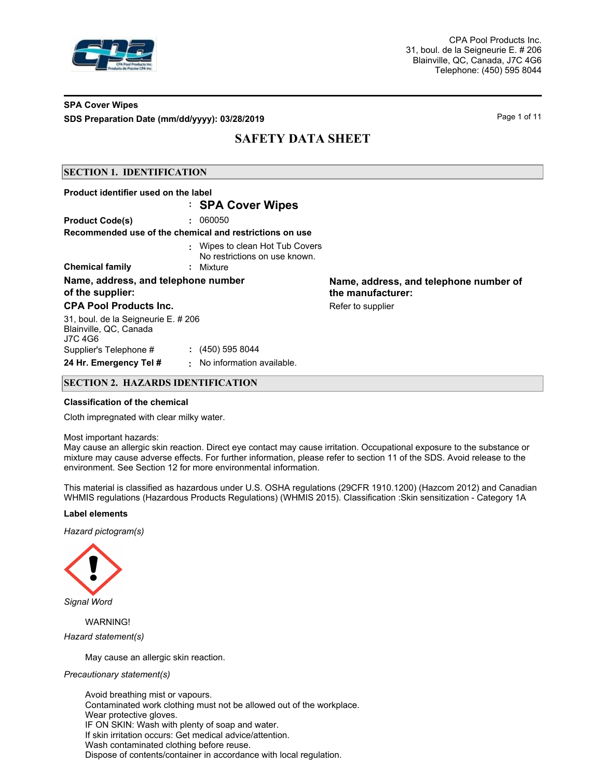

# **SPA Cover Wipes SDS Preparation Date (mm/dd/yyyy): 03/28/2019 Page 1 of 11** Page 1 of 11

# **SAFETY DATA SHEET**

## **SECTION 1. IDENTIFICATION**

| Product identifier used on the label                                     |                                                                  |                                                             |
|--------------------------------------------------------------------------|------------------------------------------------------------------|-------------------------------------------------------------|
|                                                                          | : SPA Cover Wipes                                                |                                                             |
| <b>Product Code(s)</b>                                                   | : 060050                                                         |                                                             |
|                                                                          | Recommended use of the chemical and restrictions on use          |                                                             |
|                                                                          | : Wipes to clean Hot Tub Covers<br>No restrictions on use known. |                                                             |
| <b>Chemical family</b>                                                   | : Mixture                                                        |                                                             |
| Name, address, and telephone number<br>of the supplier:                  |                                                                  | Name, address, and telephone number of<br>the manufacturer: |
| <b>CPA Pool Products Inc.</b>                                            |                                                                  | Refer to supplier                                           |
| 31, boul. de la Seigneurie E. # 206<br>Blainville, QC, Canada<br>J7C 4G6 |                                                                  |                                                             |
| Supplier's Telephone #                                                   | $(450)$ 595 8044                                                 |                                                             |
| 24 Hr. Emergency Tel #                                                   | : No information available.                                      |                                                             |

## **SECTION 2. HAZARDS IDENTIFICATION**

#### **Classification of the chemical**

Cloth impregnated with clear milky water.

#### Most important hazards:

May cause an allergic skin reaction. Direct eye contact may cause irritation. Occupational exposure to the substance or mixture may cause adverse effects. For further information, please refer to section 11 of the SDS. Avoid release to the environment. See Section 12 for more environmental information.

This material is classified as hazardous under U.S. OSHA regulations (29CFR 1910.1200) (Hazcom 2012) and Canadian WHMIS regulations (Hazardous Products Regulations) (WHMIS 2015). Classification :Skin sensitization - Category 1A

#### **Label elements**

*Hazard pictogram(s)*



WARNING! *Hazard statement(s)*

May cause an allergic skin reaction.

#### *Precautionary statement(s)*

Avoid breathing mist or vapours. Contaminated work clothing must not be allowed out of the workplace. Wear protective gloves. IF ON SKIN: Wash with plenty of soap and water. If skin irritation occurs: Get medical advice/attention. Wash contaminated clothing before reuse. Dispose of contents/container in accordance with local regulation.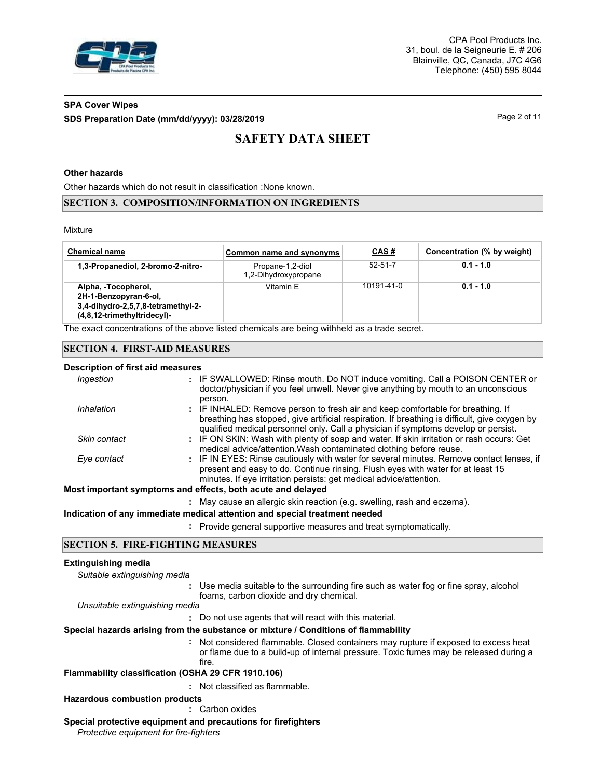

# **SPA Cover Wipes SDS Preparation Date (mm/dd/yyyy): 03/28/2019 Page 2 of 11**

# **SAFETY DATA SHEET**

## **Other hazards**

Other hazards which do not result in classification :None known.

#### **SECTION 3. COMPOSITION/INFORMATION ON INGREDIENTS**

Mixture

| <b>Chemical name</b>                                                                                              | Common name and synonyms                 | CAS#          | Concentration (% by weight) |
|-------------------------------------------------------------------------------------------------------------------|------------------------------------------|---------------|-----------------------------|
| 1,3-Propanediol, 2-bromo-2-nitro-                                                                                 | Propane-1,2-diol<br>1,2-Dihydroxypropane | $52 - 51 - 7$ | $0.1 - 1.0$                 |
| Alpha, -Tocopherol,<br>2H-1-Benzopyran-6-ol,<br>3,4-dihydro-2,5,7,8-tetramethyl-2-<br>(4,8,12-trimethyltridecyl)- | Vitamin F                                | 10191-41-0    | $0.1 - 1.0$                 |

The exact concentrations of the above listed chemicals are being withheld as a trade secret.

## **SECTION 4. FIRST-AID MEASURES**

#### **Description of first aid measures**

| Ingestion                                                   | : IF SWALLOWED: Rinse mouth. Do NOT induce vomiting. Call a POISON CENTER or<br>doctor/physician if you feel unwell. Never give anything by mouth to an unconscious                                                                                                               |  |  |  |  |
|-------------------------------------------------------------|-----------------------------------------------------------------------------------------------------------------------------------------------------------------------------------------------------------------------------------------------------------------------------------|--|--|--|--|
| Inhalation                                                  | person.<br>: IF INHALED: Remove person to fresh air and keep comfortable for breathing. If<br>breathing has stopped, give artificial respiration. If breathing is difficult, give oxygen by<br>qualified medical personnel only. Call a physician if symptoms develop or persist. |  |  |  |  |
| Skin contact                                                | : IF ON SKIN: Wash with plenty of soap and water. If skin irritation or rash occurs: Get<br>medical advice/attention. Wash contaminated clothing before reuse.                                                                                                                    |  |  |  |  |
| Eye contact                                                 | : IF IN EYES: Rinse cautiously with water for several minutes. Remove contact lenses, if<br>present and easy to do. Continue rinsing. Flush eyes with water for at least 15<br>minutes. If eye irritation persists: get medical advice/attention.                                 |  |  |  |  |
| Most important symptoms and effects, both acute and delayed |                                                                                                                                                                                                                                                                                   |  |  |  |  |
|                                                             | : May cause an allergic skin reaction (e.g. swelling, rash and eczema).                                                                                                                                                                                                           |  |  |  |  |
|                                                             | Indication of any immediate medical attention and special treatment needed                                                                                                                                                                                                        |  |  |  |  |
|                                                             |                                                                                                                                                                                                                                                                                   |  |  |  |  |

**:** Provide general supportive measures and treat symptomatically.

## **SECTION 5. FIRE-FIGHTING MEASURES**

#### **Extinguishing media**

*Suitable extinguishing media*

**:** Use media suitable to the surrounding fire such as water fog or fine spray, alcohol foams, carbon dioxide and dry chemical.

*Unsuitable extinguishing media*

**:** Do not use agents that will react with this material.

**Special hazards arising from the substance or mixture / Conditions of flammability**

Not considered flammable. Closed containers may rupture if exposed to excess heat **:** or flame due to a build-up of internal pressure. Toxic fumes may be released during a fire.

**Flammability classification (OSHA 29 CFR 1910.106)**

**:** Not classified as flammable.

**Hazardous combustion products**

**:** Carbon oxides

#### **Special protective equipment and precautions for firefighters**

*Protective equipment for fire-fighters*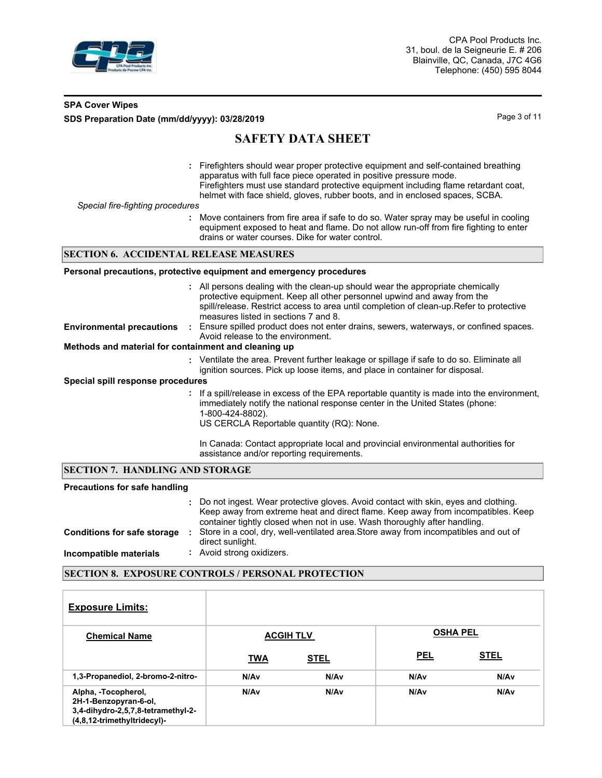

# **SPA Cover Wipes SDS Preparation Date (mm/dd/yyyy): 03/28/2019 Page 3 of 11**

# **SAFETY DATA SHEET**

**:** Firefighters should wear proper protective equipment and self-contained breathing apparatus with full face piece operated in positive pressure mode. Firefighters must use standard protective equipment including flame retardant coat, helmet with face shield, gloves, rubber boots, and in enclosed spaces, SCBA. **:** *Special fire-fighting procedures* Move containers from fire area if safe to do so. Water spray may be useful in cooling equipment exposed to heat and flame. Do not allow run-off from fire fighting to enter drains or water courses. Dike for water control. All persons dealing with the clean-up should wear the appropriate chemically **:** protective equipment. Keep all other personnel upwind and away from the spill/release. Restrict access to area until completion of clean-up.Refer to protective measures listed in sections 7 and 8. **Personal precautions, protective equipment and emergency procedures SECTION 6. ACCIDENTAL RELEASE MEASURES** Ensure spilled product does not enter drains, sewers, waterways, or confined spaces. Avoid release to the environment. **Environmental precautions :** Ventilate the area. Prevent further leakage or spillage if safe to do so. Eliminate all **:** ignition sources. Pick up loose items, and place in container for disposal. **Methods and material for containment and cleaning up Special spill response procedures :** If a spill/release in excess of the EPA reportable quantity is made into the environment, immediately notify the national response center in the United States (phone: 1-800-424-8802). US CERCLA Reportable quantity (RQ): None. In Canada: Contact appropriate local and provincial environmental authorities for assistance and/or reporting requirements.

#### **SECTION 7. HANDLING AND STORAGE**

| <b>Precautions for safe handling</b> |                                                                                                                                                                                                                                                       |
|--------------------------------------|-------------------------------------------------------------------------------------------------------------------------------------------------------------------------------------------------------------------------------------------------------|
|                                      | : Do not ingest. Wear protective gloves. Avoid contact with skin, eyes and clothing.<br>Keep away from extreme heat and direct flame. Keep away from incompatibles. Keep<br>container tightly closed when not in use. Wash thoroughly after handling. |
| <b>Conditions for safe storage</b>   | Store in a cool, dry, well-ventilated area. Store away from incompatibles and out of<br>direct sunlight.                                                                                                                                              |
| Incompatible materials               | : Avoid strong oxidizers.                                                                                                                                                                                                                             |

## **SECTION 8. EXPOSURE CONTROLS / PERSONAL PROTECTION**

| <b>Exposure Limits:</b>                                                                                           |            |                  |                 |                  |
|-------------------------------------------------------------------------------------------------------------------|------------|------------------|-----------------|------------------|
| <b>Chemical Name</b>                                                                                              |            | <b>ACGIH TLV</b> | <b>OSHA PEL</b> |                  |
|                                                                                                                   | <b>TWA</b> | <b>STEL</b>      | <u>PEL</u>      | <b>STEL</b>      |
| 1,3-Propanediol, 2-bromo-2-nitro-                                                                                 | N/Av       | N/A <sub>v</sub> | N/Av            | N/A <sub>v</sub> |
| Alpha, -Tocopherol,<br>2H-1-Benzopyran-6-ol,<br>3,4-dihydro-2,5,7,8-tetramethyl-2-<br>(4,8,12-trimethyltridecyl)- | N/Av       | N/A <sub>v</sub> | N/Av            | N/A <sub>v</sub> |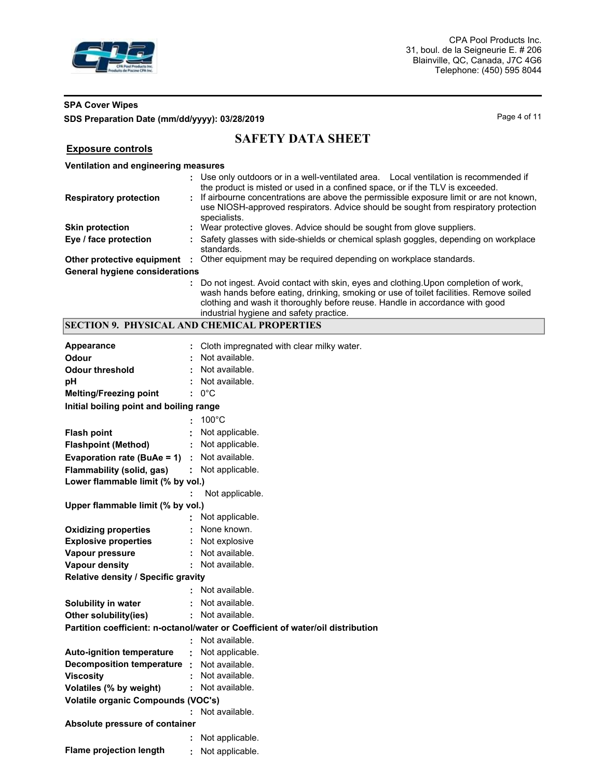

**Exposure controls**

# **SPA Cover Wipes SDS Preparation Date (mm/dd/yyyy): 03/28/2019 Page 4 of 11** Page 4 of 11

# **SAFETY DATA SHEET**

# **Ventilation and engineering measures**

| <b>Respiratory protection</b>         | : Use only outdoors or in a well-ventilated area. Local ventilation is recommended if<br>the product is misted or used in a confined space, or if the TLV is exceeded.<br>If airbourne concentrations are above the permissible exposure limit or are not known,<br>use NIOSH-approved respirators. Advice should be sought from respiratory protection<br>specialists. |  |
|---------------------------------------|-------------------------------------------------------------------------------------------------------------------------------------------------------------------------------------------------------------------------------------------------------------------------------------------------------------------------------------------------------------------------|--|
| <b>Skin protection</b>                | Wear protective gloves. Advice should be sought from glove suppliers.                                                                                                                                                                                                                                                                                                   |  |
| Eye / face protection                 | Safety glasses with side-shields or chemical splash goggles, depending on workplace<br>standards.                                                                                                                                                                                                                                                                       |  |
| Other protective equipment :          | Other equipment may be required depending on workplace standards.                                                                                                                                                                                                                                                                                                       |  |
| <b>General hygiene considerations</b> |                                                                                                                                                                                                                                                                                                                                                                         |  |
|                                       | Do not ingest. Avoid contact with skin, eyes and clothing. Upon completion of work,<br>wash hands before eating, drinking, smoking or use of toilet facilities. Remove soiled<br>clothing and wash it thoroughly before reuse. Handle in accordance with good<br>industrial hygiene and safety practice.                                                                |  |

# **SECTION 9. PHYSICAL AND CHEMICAL PROPERTIES**

| <b>Appearance</b>                         |   | Cloth impregnated with clear milky water.                                       |
|-------------------------------------------|---|---------------------------------------------------------------------------------|
| <b>Odour</b>                              |   | Not available.                                                                  |
| <b>Odour threshold</b>                    |   | Not available.                                                                  |
| рH                                        |   | Not available.                                                                  |
| <b>Melting/Freezing point</b>             |   | $: 0^{\circ}$ C                                                                 |
| Initial boiling point and boiling range   |   |                                                                                 |
|                                           |   | $100^{\circ}$ C                                                                 |
| <b>Flash point</b>                        |   | Not applicable.                                                                 |
| <b>Flashpoint (Method)</b>                |   | Not applicable.                                                                 |
| Evaporation rate (BuAe = 1)               |   | : Not available.                                                                |
| Flammability (solid, gas)                 |   | Not applicable.                                                                 |
| Lower flammable limit (% by vol.)         |   |                                                                                 |
|                                           |   | Not applicable.                                                                 |
| Upper flammable limit (% by vol.)         |   |                                                                                 |
|                                           |   | Not applicable.                                                                 |
| <b>Oxidizing properties</b>               |   | None known.                                                                     |
| <b>Explosive properties</b>               |   | Not explosive                                                                   |
| Vapour pressure                           |   | Not available.                                                                  |
| <b>Vapour density</b>                     |   | : Not available.                                                                |
| Relative density / Specific gravity       |   |                                                                                 |
|                                           |   | Not available.                                                                  |
| Solubility in water                       |   | Not available.                                                                  |
| Other solubility(ies)                     |   | : Not available.                                                                |
|                                           |   | Partition coefficient: n-octanol/water or Coefficient of water/oil distribution |
|                                           |   | Not available.                                                                  |
| <b>Auto-ignition temperature</b>          | ÷ | Not applicable.                                                                 |
| Decomposition temperature :               |   | Not available.                                                                  |
| <b>Viscosity</b>                          |   | Not available.                                                                  |
| Volatiles (% by weight)                   |   | : Not available.                                                                |
| <b>Volatile organic Compounds (VOC's)</b> |   |                                                                                 |
|                                           |   | Not available.                                                                  |
| Absolute pressure of container            |   |                                                                                 |
|                                           |   | Not applicable.                                                                 |
| <b>Flame projection length</b>            |   | Not applicable.                                                                 |
|                                           |   |                                                                                 |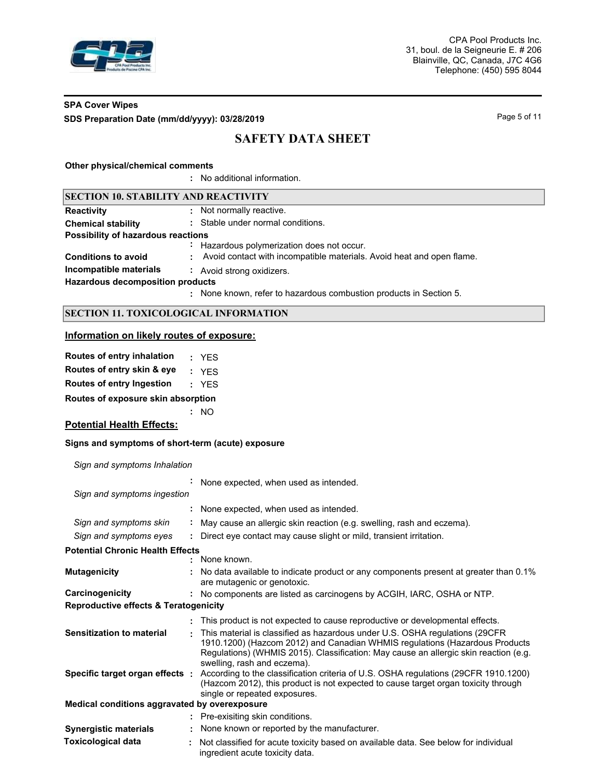

# **SPA Cover Wipes SDS Preparation Date (mm/dd/yyyy): 03/28/2019 Page 5 of 11**

# **SAFETY DATA SHEET**

#### **Other physical/chemical comments**

**:** No additional information.

#### **SECTION 10. STABILITY AND REACTIVITY**

| <b>Reactivity</b> | Not normally reactive. |
|-------------------|------------------------|

| <b>Chemical stability</b>          | : Stable under normal conditions. |
|------------------------------------|-----------------------------------|
| Possibility of hazardous reactions |                                   |

**:** Hazardous polymerization does not occur.

**Conditions to avoid :** Avoid contact with incompatible materials. Avoid heat and open flame.

**Incompatible materials :** Avoid strong oxidizers.

**Hazardous decomposition products**

None known, refer to hazardous combustion products in Section 5. **:**

# **SECTION 11. TOXICOLOGICAL INFORMATION**

## **Information on likely routes of exposure:**

| Routes of entry inhalation                        | : YFS                     |
|---------------------------------------------------|---------------------------|
| Routes of entry skin & eye                        | : YFS                     |
| Routes of entry Ingestion                         | : YFS                     |
| Routes of exposure skin absorption                |                           |
|                                                   | NO.                       |
| <b>Potential Health Effects:</b>                  |                           |
| Signs and symptoms of short-term (acute) exposure |                           |
| Sign and symptoms Inhalation                      |                           |
|                                                   | ÷.<br>None expected, when |

|                                                  | None expected, when used as intended.                                                                                                                                                                                                                                             |
|--------------------------------------------------|-----------------------------------------------------------------------------------------------------------------------------------------------------------------------------------------------------------------------------------------------------------------------------------|
| Sign and symptoms ingestion                      |                                                                                                                                                                                                                                                                                   |
|                                                  | : None expected, when used as intended.                                                                                                                                                                                                                                           |
| Sign and symptoms skin                           | May cause an allergic skin reaction (e.g. swelling, rash and eczema).                                                                                                                                                                                                             |
| Sign and symptoms eyes                           | Direct eye contact may cause slight or mild, transient irritation.                                                                                                                                                                                                                |
| <b>Potential Chronic Health Effects</b>          |                                                                                                                                                                                                                                                                                   |
|                                                  | : None known.                                                                                                                                                                                                                                                                     |
| <b>Mutagenicity</b>                              | No data available to indicate product or any components present at greater than 0.1%<br>are mutagenic or genotoxic.                                                                                                                                                               |
| Carcinogenicity                                  | : No components are listed as carcinogens by ACGIH, IARC, OSHA or NTP.                                                                                                                                                                                                            |
| <b>Reproductive effects &amp; Teratogenicity</b> |                                                                                                                                                                                                                                                                                   |
|                                                  | This product is not expected to cause reproductive or developmental effects.                                                                                                                                                                                                      |
| <b>Sensitization to material</b>                 | This material is classified as hazardous under U.S. OSHA regulations (29CFR<br>1910.1200) (Hazcom 2012) and Canadian WHMIS regulations (Hazardous Products<br>Regulations) (WHMIS 2015). Classification: May cause an allergic skin reaction (e.g.<br>swelling, rash and eczema). |
| Specific target organ effects :                  | According to the classification criteria of U.S. OSHA regulations (29CFR 1910.1200)<br>(Hazcom 2012), this product is not expected to cause target organ toxicity through<br>single or repeated exposures.                                                                        |
| Medical conditions aggravated by overexposure    |                                                                                                                                                                                                                                                                                   |
|                                                  | : Pre-exisiting skin conditions.                                                                                                                                                                                                                                                  |
| <b>Synergistic materials</b>                     | None known or reported by the manufacturer.                                                                                                                                                                                                                                       |
| <b>Toxicological data</b>                        | Not classified for acute toxicity based on available data. See below for individual<br>ingredient acute toxicity data.                                                                                                                                                            |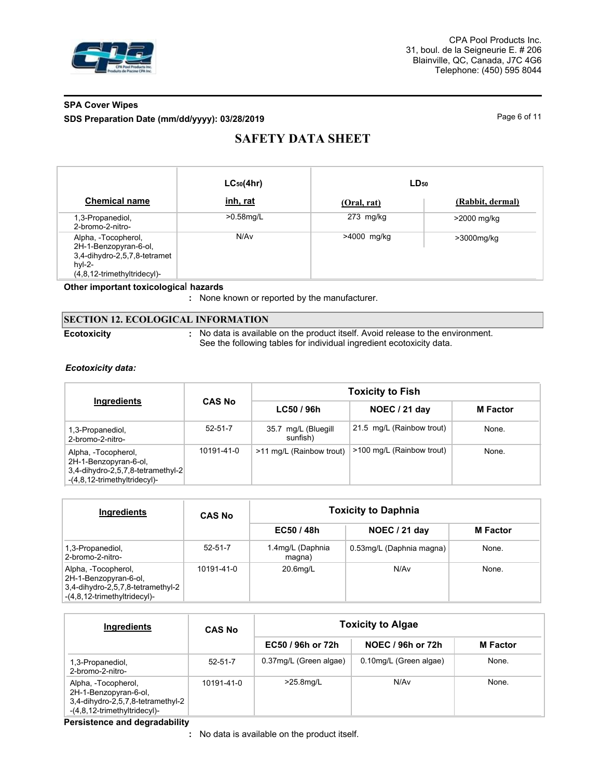

# **SPA Cover Wipes SDS Preparation Date (mm/dd/yyyy): 03/28/2019 Page 6 of 11** Page 6 of 11

# **SAFETY DATA SHEET**

|                                                                                                                            | $LC_{50}(4hr)$ | $LD_{50}$   |                  |
|----------------------------------------------------------------------------------------------------------------------------|----------------|-------------|------------------|
| <b>Chemical name</b>                                                                                                       | inh, rat       | (Oral, rat) | (Rabbit, dermal) |
| 1,3-Propanediol,<br>2-bromo-2-nitro-                                                                                       | $>0.58$ mg/L   | $273$ mg/kg | >2000 mg/kg      |
| Alpha, -Tocopherol,<br>2H-1-Benzopyran-6-ol,<br>3,4-dihydro-2,5,7,8-tetramet<br>$hvl-2-$<br>$(4,8,12$ -trimethyltridecyl)- | N/Av           | >4000 mg/kg | >3000mg/kg       |

## **Other important toxicologica**l **hazards**

**:** None known or reported by the manufacturer.

|                    | <b>SECTION 12. ECOLOGICAL INFORMATION</b>                                                                                                             |
|--------------------|-------------------------------------------------------------------------------------------------------------------------------------------------------|
| <b>Ecotoxicity</b> | No data is available on the product itself. Avoid release to the environment.<br>See the following tables for individual ingredient ecotoxicity data. |

## *Ecotoxicity data:*

|                                                                                                                   |               | <b>Toxicity to Fish</b>         |                           |                 |  |  |  |
|-------------------------------------------------------------------------------------------------------------------|---------------|---------------------------------|---------------------------|-----------------|--|--|--|
| Ingredients                                                                                                       | <b>CAS No</b> | LG50/96h                        | NOEC / 21 day             | <b>M</b> Factor |  |  |  |
| 1,3-Propanediol,<br>2-bromo-2-nitro-                                                                              | $52 - 51 - 7$ | 35.7 mg/L (Bluegill<br>sunfish) | 21.5 mg/L (Rainbow trout) | None.           |  |  |  |
| Alpha, -Tocopherol,<br>2H-1-Benzopyran-6-ol,<br>3,4-dihydro-2,5,7,8-tetramethyl-2<br>-(4,8,12-trimethyltridecyl)- | 10191-41-0    | >11 mg/L (Rainbow trout)        | >100 mg/L (Rainbow trout) | None.           |  |  |  |

| Ingredients                                                                                                       | <b>CAS No</b> | <b>Toxicity to Daphnia</b> |                          |                 |  |  |
|-------------------------------------------------------------------------------------------------------------------|---------------|----------------------------|--------------------------|-----------------|--|--|
|                                                                                                                   |               | EC50/48h                   | NOEC / 21 day            | <b>M</b> Factor |  |  |
| 1,3-Propanediol,<br>2-bromo-2-nitro-                                                                              | $52 - 51 - 7$ | 1.4mg/L (Daphnia<br>magna) | 0.53mg/L (Daphnia magna) | None.           |  |  |
| Alpha, -Tocopherol,<br>2H-1-Benzopyran-6-ol,<br>3,4-dihydro-2,5,7,8-tetramethyl-2<br>-(4,8,12-trimethyltridecyl)- | 10191-41-0    | 20.6mg/L                   | N/Av                     | None.           |  |  |

| Ingredients                                                                                                       | <b>CAS No</b> |                        | <b>Toxicity to Algae</b> |                 |  |  |
|-------------------------------------------------------------------------------------------------------------------|---------------|------------------------|--------------------------|-----------------|--|--|
|                                                                                                                   |               | EC50 / 96h or 72h      | NOEC / 96h or 72h        | <b>M</b> Factor |  |  |
| 1,3-Propanediol,<br>2-bromo-2-nitro-                                                                              | $52 - 51 - 7$ | 0.37mg/L (Green algae) | 0.10mg/L (Green algae)   | None.           |  |  |
| Alpha, -Tocopherol,<br>2H-1-Benzopyran-6-ol,<br>3,4-dihydro-2,5,7,8-tetramethyl-2<br>-(4,8,12-trimethyltridecyl)- | 10191-41-0    | $>25.8$ mg/L           | N/Av                     | None.           |  |  |

#### **Persistence and degradability**

No data is available on the product itself. **:**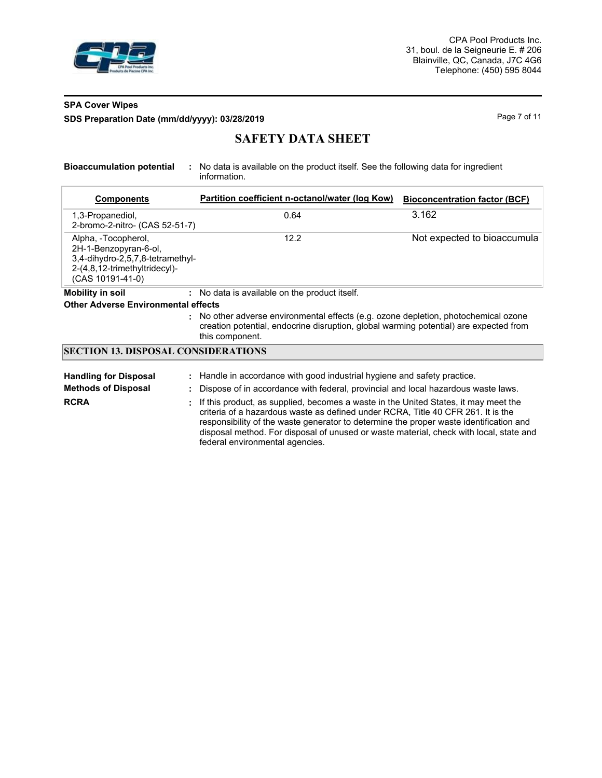

# **SPA Cover Wipes SDS Preparation Date (mm/dd/yyyy): 03/28/2019 Page 7 of 11 Page 7 of 11**

# **SAFETY DATA SHEET**

**Bioaccumulation potential :** No data is available on the product itself. See the following data for ingredient information.

| <b>Components</b>                                                                                                                     | Partition coefficient n-octanol/water (log Kow)                                                                                                                                                                                                                                                                                                             | <b>Bioconcentration factor (BCF)</b> |
|---------------------------------------------------------------------------------------------------------------------------------------|-------------------------------------------------------------------------------------------------------------------------------------------------------------------------------------------------------------------------------------------------------------------------------------------------------------------------------------------------------------|--------------------------------------|
| 1,3-Propanediol,<br>2-bromo-2-nitro- (CAS 52-51-7)                                                                                    | 0.64                                                                                                                                                                                                                                                                                                                                                        | 3.162                                |
| Alpha, -Tocopherol,<br>2H-1-Benzopyran-6-ol,<br>3,4-dihydro-2,5,7,8-tetramethyl-<br>2-(4,8,12-trimethyltridecyl)-<br>(CAS 10191-41-0) | 12.2                                                                                                                                                                                                                                                                                                                                                        | Not expected to bioaccumula          |
| <b>Mobility in soil</b>                                                                                                               | : No data is available on the product itself.                                                                                                                                                                                                                                                                                                               |                                      |
| <b>Other Adverse Environmental effects</b>                                                                                            |                                                                                                                                                                                                                                                                                                                                                             |                                      |
|                                                                                                                                       | : No other adverse environmental effects (e.g. ozone depletion, photochemical ozone<br>creation potential, endocrine disruption, global warming potential) are expected from<br>this component.                                                                                                                                                             |                                      |
| <b>SECTION 13. DISPOSAL CONSIDERATIONS</b>                                                                                            |                                                                                                                                                                                                                                                                                                                                                             |                                      |
| <b>Handling for Disposal</b>                                                                                                          | : Handle in accordance with good industrial hygiene and safety practice.                                                                                                                                                                                                                                                                                    |                                      |
| <b>Methods of Disposal</b>                                                                                                            | Dispose of in accordance with federal, provincial and local hazardous waste laws.                                                                                                                                                                                                                                                                           |                                      |
| <b>RCRA</b>                                                                                                                           | If this product, as supplied, becomes a waste in the United States, it may meet the<br>criteria of a hazardous waste as defined under RCRA, Title 40 CFR 261. It is the<br>responsibility of the waste generator to determine the proper waste identification and<br>disposal method. For disposal of unused or waste material, check with local, state and |                                      |

federal environmental agencies.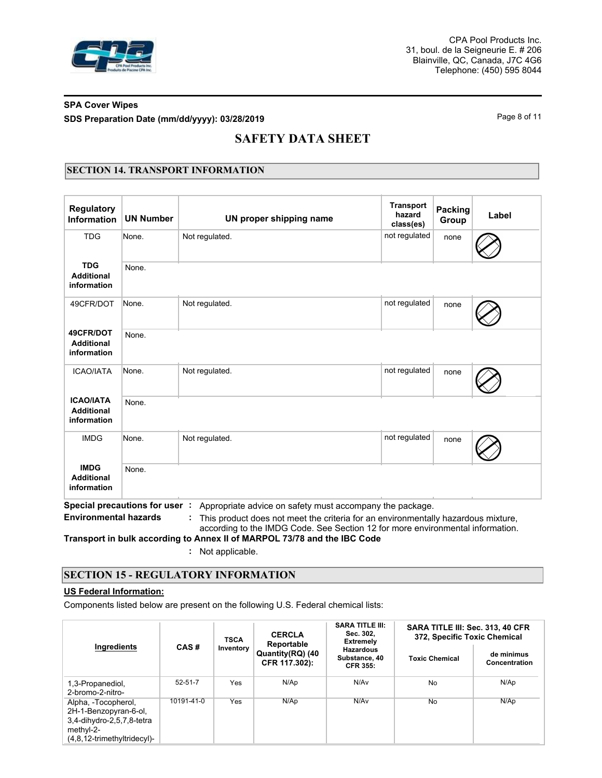

# **SPA Cover Wipes SDS Preparation Date (mm/dd/yyyy): 03/28/2019 Page 8 of 11**

# **SAFETY DATA SHEET**

# **SECTION 14. TRANSPORT INFORMATION**

| <b>Regulatory</b><br>Information                     | <b>UN Number</b>              | UN proper shipping name                                                                                                                                                                                                         | <b>Transport</b><br>hazard<br>class(es) | Packing<br>Group | Label |
|------------------------------------------------------|-------------------------------|---------------------------------------------------------------------------------------------------------------------------------------------------------------------------------------------------------------------------------|-----------------------------------------|------------------|-------|
| <b>TDG</b>                                           | None.                         | Not regulated.                                                                                                                                                                                                                  | not regulated                           | none             |       |
| <b>TDG</b><br><b>Additional</b><br>information       | None.                         |                                                                                                                                                                                                                                 |                                         |                  |       |
| 49CFR/DOT                                            | None.                         | Not regulated.                                                                                                                                                                                                                  | not regulated                           | none             |       |
| 49CFR/DOT<br><b>Additional</b><br>information        | None.                         |                                                                                                                                                                                                                                 |                                         |                  |       |
| <b>ICAO/IATA</b>                                     | None.                         | Not regulated.                                                                                                                                                                                                                  | not regulated                           | none             |       |
| <b>ICAO/IATA</b><br><b>Additional</b><br>information | None.                         |                                                                                                                                                                                                                                 |                                         |                  |       |
| <b>IMDG</b>                                          | None.                         | Not regulated.                                                                                                                                                                                                                  | not regulated                           | none             |       |
| <b>IMDG</b><br><b>Additional</b><br>information      | None.                         |                                                                                                                                                                                                                                 |                                         |                  |       |
| <b>Environmental hazards</b>                         | Special precautions for user: | Appropriate advice on safety must accompany the package.<br>This product does not meet the criteria for an environmentally hazardous mixture,<br>according to the IMDG Code. See Section 12 for more environmental information. |                                         |                  |       |

**Transport in bulk according to Annex II of MARPOL 73/78 and the IBC Code**

**:** Not applicable.

# **SECTION 15 - REGULATORY INFORMATION**

## **US Federal Information:**

Components listed below are present on the following U.S. Federal chemical lists:

|                                                                                                                          |                                                      | <b>CERCLA</b><br><b>TSCA</b><br>Reportable |                             | <b>SARA TITLE III:</b><br>Sec. 302.<br><b>Extremely</b> | SARA TITLE III: Sec. 313, 40 CFR<br>372, Specific Toxic Chemical |      |  |
|--------------------------------------------------------------------------------------------------------------------------|------------------------------------------------------|--------------------------------------------|-----------------------------|---------------------------------------------------------|------------------------------------------------------------------|------|--|
| Ingredients<br>CAS#<br>Inventory<br>Quantity(RQ) (40<br>CFR 117.302):                                                    | <b>Hazardous</b><br>Substance, 40<br><b>CFR 355:</b> | <b>Toxic Chemical</b>                      | de minimus<br>Concentration |                                                         |                                                                  |      |  |
| 1,3-Propanediol,<br>2-bromo-2-nitro-                                                                                     | $52 - 51 - 7$                                        | Yes                                        | N/Ap                        | N/Av                                                    | No                                                               | N/Ap |  |
| Alpha, -Tocopherol,<br>2H-1-Benzopyran-6-ol,<br>3,4-dihydro-2,5,7,8-tetra<br>methyl-2-<br>$(4.8.12-trimethyltridecyl)$ - | 10191-41-0                                           | Yes                                        | N/Ap                        | N/Av                                                    | No                                                               | N/Ap |  |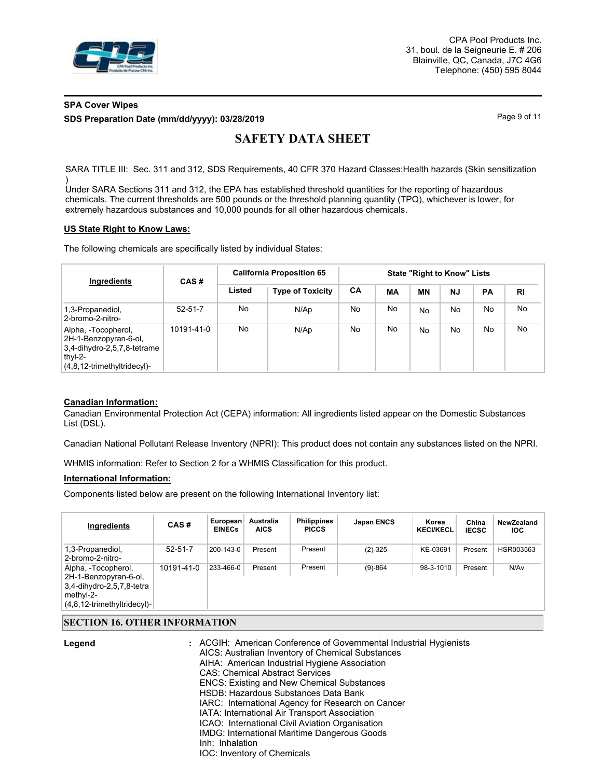

CPA Pool Products Inc. 31, boul. de la Seigneurie E. # 206 Blainville, QC, Canada, J7C 4G6 Telephone: (450) 595 8044

# **SPA Cover Wipes SDS Preparation Date (mm/dd/yyyy): 03/28/2019 Page 9 of 11**

# **SAFETY DATA SHEET**

SARA TITLE III: Sec. 311 and 312, SDS Requirements, 40 CFR 370 Hazard Classes: Health hazards (Skin sensitization )

Under SARA Sections 311 and 312, the EPA has established threshold quantities for the reporting of hazardous chemicals. The current thresholds are 500 pounds or the threshold planning quantity (TPQ), whichever is lower, for extremely hazardous substances and 10,000 pounds for all other hazardous chemicals.

#### **US State Right to Know Laws:**

The following chemicals are specifically listed by individual States:

| Ingredients                                                                                                                 | CAS#          | <b>California Proposition 65</b> | <b>State "Right to Know" Lists</b> |     |    |                |           |    |           |
|-----------------------------------------------------------------------------------------------------------------------------|---------------|----------------------------------|------------------------------------|-----|----|----------------|-----------|----|-----------|
|                                                                                                                             |               | Listed                           | <b>Type of Toxicity</b>            | CA  | МA | ΜN             | <b>NJ</b> | PA | <b>RI</b> |
| 1,3-Propanediol,<br>2-bromo-2-nitro-                                                                                        | $52 - 51 - 7$ | No                               | N/Ap                               | No. | No | No             | No        | No | No        |
| Alpha, -Tocopherol,<br>2H-1-Benzopyran-6-ol,<br>$3,4$ -dihydro-2,5,7,8-tetrame<br>thyl-2-<br>$(4,8,12$ -trimethyltridecyl)- | 10191-41-0    | No.                              | N/Ap                               | No. | No | N <sub>o</sub> | No        | No | No        |

## **Canadian Information:**

Canadian Environmental Protection Act (CEPA) information: All ingredients listed appear on the Domestic Substances List (DSL).

Canadian National Pollutant Release Inventory (NPRI): This product does not contain any substances listed on the NPRI.

WHMIS information: Refer to Section 2 for a WHMIS Classification for this product.

#### **International Information:**

Components listed below are present on the following International Inventory list:

| Ingredients                                                                                                              | CAS#          | European<br><b>EINECs</b> | <b>Australia</b><br><b>AICS</b> | <b>Philippines</b><br><b>PICCS</b> | <b>Japan ENCS</b> | Korea<br><b>KECI/KECL</b> | China<br><b>IECSC</b> | NewZealand<br><b>IOC</b> |
|--------------------------------------------------------------------------------------------------------------------------|---------------|---------------------------|---------------------------------|------------------------------------|-------------------|---------------------------|-----------------------|--------------------------|
| 1,3-Propanediol,<br>2-bromo-2-nitro-                                                                                     | $52 - 51 - 7$ | $200 - 143 - 0$           | Present                         | Present                            | $(2)-325$         | KE-03691                  | Present               | HSR003563                |
| Alpha, -Tocopherol,<br>2H-1-Benzopyran-6-ol,<br>3,4-dihydro-2,5,7,8-tetra<br>methyl-2-<br>$(4,8,12$ -trimethyltridecyl)- | 10191-41-0    | 233-466-0                 | Present                         | Present                            | $(9)-864$         | 98-3-1010                 | Present               | N/Av                     |

## **SECTION 16. OTHER INFORMATION**

| Legend | : ACGIH: American Conference of Governmental Industrial Hygienists<br>AICS: Australian Inventory of Chemical Substances |
|--------|-------------------------------------------------------------------------------------------------------------------------|
|        | AIHA: American Industrial Hygiene Association                                                                           |
|        | <b>CAS: Chemical Abstract Services</b>                                                                                  |
|        | <b>ENCS: Existing and New Chemical Substances</b>                                                                       |
|        | HSDB: Hazardous Substances Data Bank                                                                                    |
|        | IARC: International Agency for Research on Cancer                                                                       |
|        | IATA: International Air Transport Association                                                                           |
|        | ICAO: International Civil Aviation Organisation                                                                         |
|        | IMDG: International Maritime Dangerous Goods                                                                            |
|        | Inh: Inhalation                                                                                                         |
|        | <b>IOC: Inventory of Chemicals</b>                                                                                      |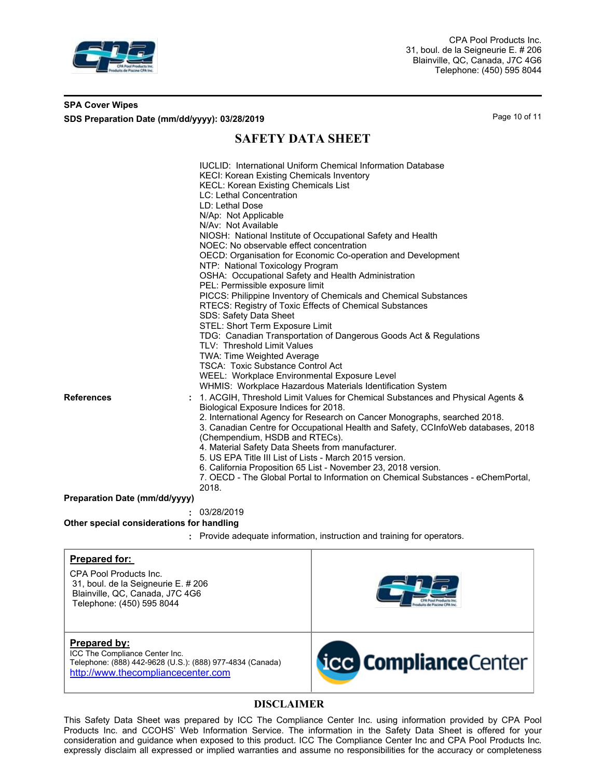

## **SPA Cover Wipes SDS Preparation Date (mm/dd/yyyy): 03/28/2019 Page 10 of 11** Page 10 of 11

# **SAFETY DATA SHEET**

| <b>References</b>                         | LC: Lethal Concentration<br>LD: Lethal Dose<br>N/Ap: Not Applicable<br>N/Av: Not Available<br>NIOSH: National Institute of Occupational Safety and Health<br>NOEC: No observable effect concentration<br>OECD: Organisation for Economic Co-operation and Development<br>NTP: National Toxicology Program<br>OSHA: Occupational Safety and Health Administration<br>PEL: Permissible exposure limit<br>PICCS: Philippine Inventory of Chemicals and Chemical Substances<br>RTECS: Registry of Toxic Effects of Chemical Substances<br>SDS: Safety Data Sheet<br>STEL: Short Term Exposure Limit<br>TDG: Canadian Transportation of Dangerous Goods Act & Regulations<br>TLV: Threshold Limit Values<br>TWA: Time Weighted Average<br><b>TSCA: Toxic Substance Control Act</b><br>WEEL: Workplace Environmental Exposure Level<br>WHMIS: Workplace Hazardous Materials Identification System<br>1. ACGIH, Threshold Limit Values for Chemical Substances and Physical Agents &<br>Biological Exposure Indices for 2018.<br>2. International Agency for Research on Cancer Monographs, searched 2018.<br>3. Canadian Centre for Occupational Health and Safety, CCInfoWeb databases, 2018<br>(Chempendium, HSDB and RTECs).<br>4. Material Safety Data Sheets from manufacturer.<br>5. US EPA Title III List of Lists - March 2015 version.<br>6. California Proposition 65 List - November 23, 2018 version. |
|-------------------------------------------|-------------------------------------------------------------------------------------------------------------------------------------------------------------------------------------------------------------------------------------------------------------------------------------------------------------------------------------------------------------------------------------------------------------------------------------------------------------------------------------------------------------------------------------------------------------------------------------------------------------------------------------------------------------------------------------------------------------------------------------------------------------------------------------------------------------------------------------------------------------------------------------------------------------------------------------------------------------------------------------------------------------------------------------------------------------------------------------------------------------------------------------------------------------------------------------------------------------------------------------------------------------------------------------------------------------------------------------------------------------------------------------------------------------|
|                                           | 7. OECD - The Global Portal to Information on Chemical Substances - eChemPortal,<br>2018.                                                                                                                                                                                                                                                                                                                                                                                                                                                                                                                                                                                                                                                                                                                                                                                                                                                                                                                                                                                                                                                                                                                                                                                                                                                                                                                   |
| Preparation Date (mm/dd/yyyy)             |                                                                                                                                                                                                                                                                                                                                                                                                                                                                                                                                                                                                                                                                                                                                                                                                                                                                                                                                                                                                                                                                                                                                                                                                                                                                                                                                                                                                             |
|                                           | : 03/28/2019                                                                                                                                                                                                                                                                                                                                                                                                                                                                                                                                                                                                                                                                                                                                                                                                                                                                                                                                                                                                                                                                                                                                                                                                                                                                                                                                                                                                |
| Other special considerations for handling |                                                                                                                                                                                                                                                                                                                                                                                                                                                                                                                                                                                                                                                                                                                                                                                                                                                                                                                                                                                                                                                                                                                                                                                                                                                                                                                                                                                                             |
|                                           | Provide adequate information, instruction and training for operators.                                                                                                                                                                                                                                                                                                                                                                                                                                                                                                                                                                                                                                                                                                                                                                                                                                                                                                                                                                                                                                                                                                                                                                                                                                                                                                                                       |

CPA Pool Products Inc. 31, boul. de la Seigneurie E. # 206 Blainville, QC, Canada, J7C 4G6 Telephone: (450) 595 8044

**Prepared by:** ICC The Compliance Center Inc. [Telephone: \(888\) 442-9628 \(U.S.\): \(888\) 977-4834 \(Canada\)](http://www.thecompliancecenter.com) http://www.thecompliancecenter.com



# **DISCLAIMER**

This Safety Data Sheet was prepared by ICC The Compliance Center Inc. using information provided by CPA Pool Products Inc. and CCOHS' Web Information Service. The information in the Safety Data Sheet is offered for your consideration and guidance when exposed to this product. ICC The Compliance Center Inc and CPA Pool Products Inc. expressly disclaim all expressed or implied warranties and assume no responsibilities for the accuracy or completeness